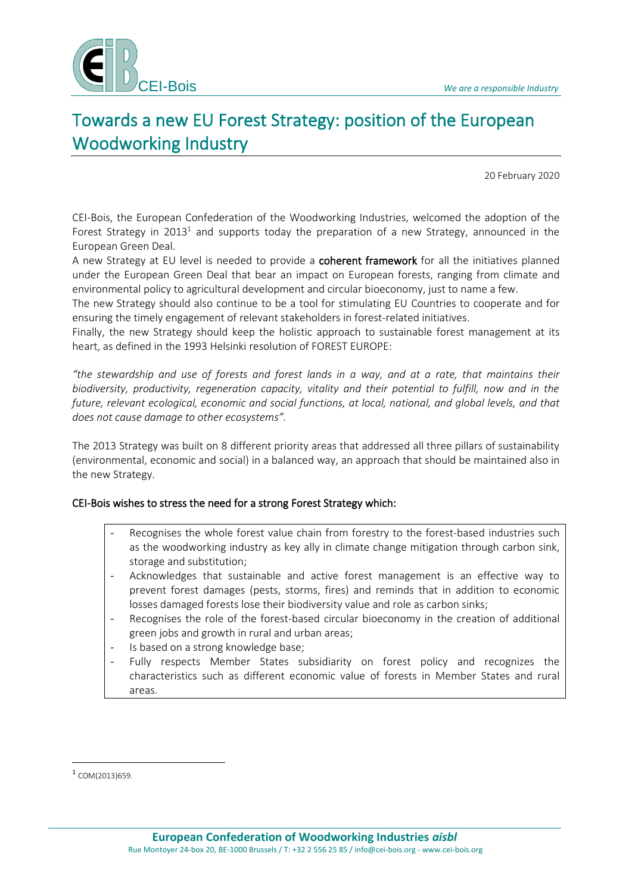

# Towards a new EU Forest Strategy: position of the European Woodworking Industry

20 February 2020

CEI-Bois, the European Confederation of the Woodworking Industries, welcomed the adoption of the Forest Strategy in 2013<sup>1</sup> and supports today the preparation of a new Strategy, announced in the European Green Deal.

A new Strategy at EU level is needed to provide a coherent framework for all the initiatives planned under the European Green Deal that bear an impact on European forests, ranging from climate and environmental policy to agricultural development and circular bioeconomy, just to name a few.

The new Strategy should also continue to be a tool for stimulating EU Countries to cooperate and for ensuring the timely engagement of relevant stakeholders in forest-related initiatives.

Finally, the new Strategy should keep the holistic approach to sustainable forest management at its heart, as defined in the 1993 Helsinki resolution of FOREST EUROPE:

*"the stewardship and use of forests and forest lands in a way, and at a rate, that maintains their biodiversity, productivity, regeneration capacity, vitality and their potential to fulfill, now and in the future, relevant ecological, economic and social functions, at local, national, and global levels, and that does not cause damage to other ecosystems".*

The 2013 Strategy was built on 8 different priority areas that addressed all three pillars of sustainability (environmental, economic and social) in a balanced way, an approach that should be maintained also in the new Strategy.

### CEI-Bois wishes to stress the need for a strong Forest Strategy which:

- Recognises the whole forest value chain from forestry to the forest-based industries such as the woodworking industry as key ally in climate change mitigation through carbon sink, storage and substitution;
- Acknowledges that sustainable and active forest management is an effective way to prevent forest damages (pests, storms, fires) and reminds that in addition to economic losses damaged forests lose their biodiversity value and role as carbon sinks;
- Recognises the role of the forest-based circular bioeconomy in the creation of additional green jobs and growth in rural and urban areas;
- Is based on a strong knowledge base;
- Fully respects Member States subsidiarity on forest policy and recognizes the characteristics such as different economic value of forests in Member States and rural areas.

<sup>1</sup> COM(2013)659.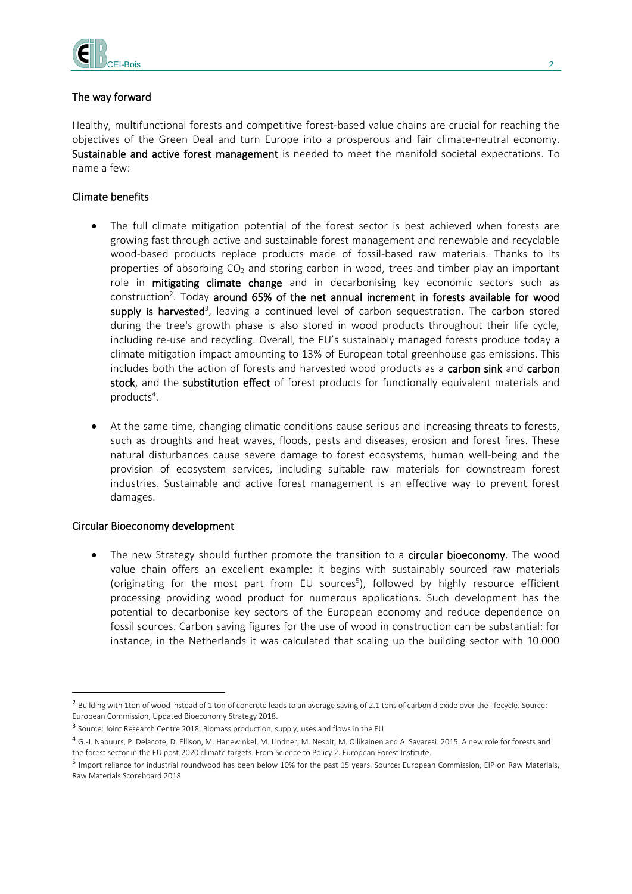

## The way forward

Healthy, multifunctional forests and competitive forest-based value chains are crucial for reaching the objectives of the Green Deal and turn Europe into a prosperous and fair climate-neutral economy. Sustainable and active forest management is needed to meet the manifold societal expectations. To name a few:

## Climate benefits

- The full climate mitigation potential of the forest sector is best achieved when forests are growing fast through active and sustainable forest management and renewable and recyclable wood-based products replace products made of fossil-based raw materials. Thanks to its properties of absorbing CO<sub>2</sub> and storing carbon in wood, trees and timber play an important role in mitigating climate change and in decarbonising key economic sectors such as construction<sup>2</sup>. Today around 65% of the net annual increment in forests available for wood supply is harvested<sup>3</sup>, leaving a continued level of carbon sequestration. The carbon stored during the tree's growth phase is also stored in wood products throughout their life cycle, including re-use and recycling. Overall, the EU's sustainably managed forests produce today a climate mitigation impact amounting to 13% of European total greenhouse gas emissions. This includes both the action of forests and harvested wood products as a carbon sink and carbon stock, and the substitution effect of forest products for functionally equivalent materials and products<sup>4</sup>.
- At the same time, changing climatic conditions cause serious and increasing threats to forests, such as droughts and heat waves, floods, pests and diseases, erosion and forest fires. These natural disturbances cause severe damage to forest ecosystems, human well-being and the provision of ecosystem services, including suitable raw materials for downstream forest industries. Sustainable and active forest management is an effective way to prevent forest damages.

### Circular Bioeconomy development

The new Strategy should further promote the transition to a circular bioeconomy. The wood value chain offers an excellent example: it begins with sustainably sourced raw materials (originating for the most part from EU sources<sup>5</sup>), followed by highly resource efficient processing providing wood product for numerous applications. Such development has the potential to decarbonise key sectors of the European economy and reduce dependence on fossil sources. Carbon saving figures for the use of wood in construction can be substantial: for instance, in the Netherlands it was calculated that scaling up the building sector with 10.000

 $^2$  Building with 1ton of wood instead of 1 ton of concrete leads to an average saving of 2.1 tons of carbon dioxide over the lifecycle. Source: European Commission, Updated Bioeconomy Strategy 2018.

<sup>&</sup>lt;sup>3</sup> Source: Joint Research Centre 2018, Biomass production, supply, uses and flows in the EU.

<sup>4</sup> G.-J. Nabuurs, P. Delacote, D. Ellison, M. Hanewinkel, M. Lindner, M. Nesbit, M. Ollikainen and A. Savaresi. 2015. A new role for forests and the forest sector in the EU post-2020 climate targets. From Science to Policy 2. European Forest Institute.

<sup>&</sup>lt;sup>5</sup> Import reliance for industrial roundwood has been below 10% for the past 15 years. Source: European Commission, EIP on Raw Materials, Raw Materials Scoreboard 2018